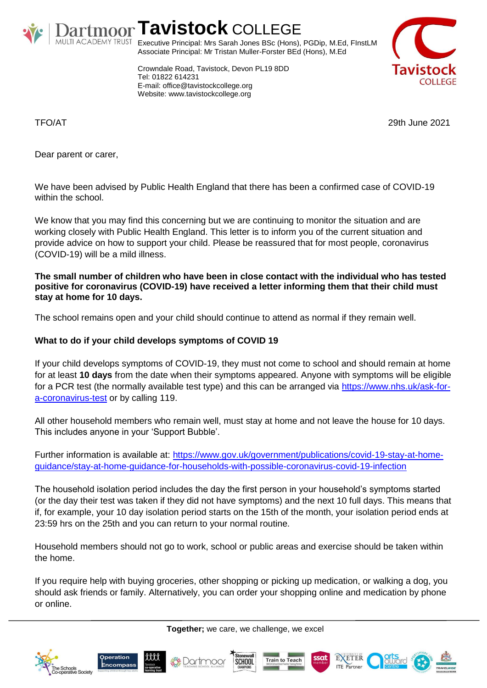

# **Tavistock** COLLEGE

Executive Principal: Mrs Sarah Jones BSc (Hons), PGDip, M.Ed, FInstLM Associate Principal: Mr Tristan Muller-Forster BEd (Hons), M.Ed

Crowndale Road, Tavistock, Devon PL19 8DD Tel: 01822 614231 E-mail: office@tavistockcollege.org Website: www.tavistockcollege.org



TFO/AT 29th June 2021

Dear parent or carer,

We have been advised by Public Health England that there has been a confirmed case of COVID-19 within the school.

We know that you may find this concerning but we are continuing to monitor the situation and are working closely with Public Health England. This letter is to inform you of the current situation and provide advice on how to support your child. Please be reassured that for most people, coronavirus (COVID-19) will be a mild illness.

**The small number of children who have been in close contact with the individual who has tested positive for coronavirus (COVID-19) have received a letter informing them that their child must stay at home for 10 days.** 

The school remains open and your child should continue to attend as normal if they remain well.

## **What to do if your child develops symptoms of COVID 19**

If your child develops symptoms of COVID-19, they must not come to school and should remain at home for at least **10 days** from the date when their symptoms appeared. Anyone with symptoms will be eligible for a PCR test (the normally available test type) and this can be arranged via [https://www.nhs.uk/ask-for](https://www.nhs.uk/ask-for-a-coronavirus-test)[a-coronavirus-test](https://www.nhs.uk/ask-for-a-coronavirus-test) or by calling 119.

All other household members who remain well, must stay at home and not leave the house for 10 days. This includes anyone in your 'Support Bubble'.

Further information is available at: [https://www.gov.uk/government/publications/covid-19-stay-at-home](https://www.gov.uk/government/publications/covid-19-stay-at-home-guidance/stay-at-home-guidance-for-households-with-possible-coronavirus-covid-19-infection)[guidance/stay-at-home-guidance-for-households-with-possible-coronavirus-covid-19-infection](https://www.gov.uk/government/publications/covid-19-stay-at-home-guidance/stay-at-home-guidance-for-households-with-possible-coronavirus-covid-19-infection)

The household isolation period includes the day the first person in your household's symptoms started (or the day their test was taken if they did not have symptoms) and the next 10 full days. This means that if, for example, your 10 day isolation period starts on the 15th of the month, your isolation period ends at 23:59 hrs on the 25th and you can return to your normal routine.

Household members should not go to work, school or public areas and exercise should be taken within the home.

If you require help with buying groceries, other shopping or picking up medication, or walking a dog, you should ask friends or family. Alternatively, you can order your shopping online and medication by phone or online.

**Together;** we care, we challenge, we excel









EXETER

**ITE** Partne